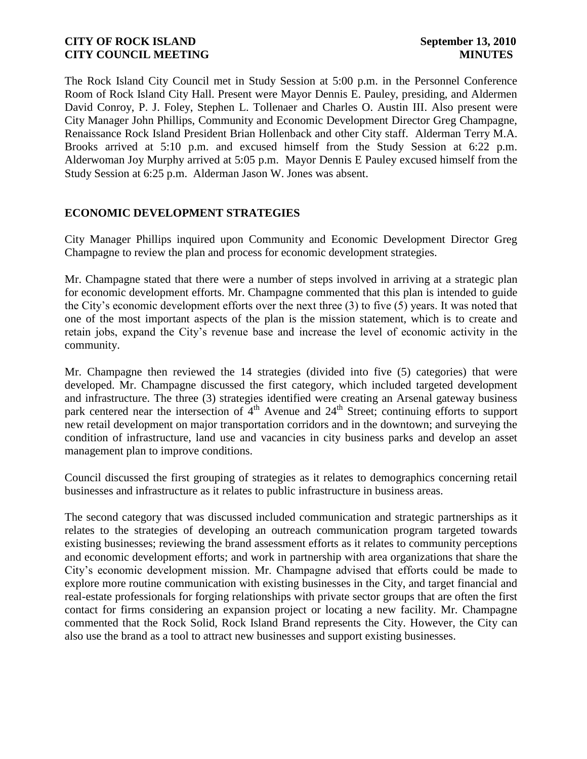The Rock Island City Council met in Study Session at 5:00 p.m. in the Personnel Conference Room of Rock Island City Hall. Present were Mayor Dennis E. Pauley, presiding, and Aldermen David Conroy, P. J. Foley, Stephen L. Tollenaer and Charles O. Austin III. Also present were City Manager John Phillips, Community and Economic Development Director Greg Champagne, Renaissance Rock Island President Brian Hollenback and other City staff. Alderman Terry M.A. Brooks arrived at 5:10 p.m. and excused himself from the Study Session at 6:22 p.m. Alderwoman Joy Murphy arrived at 5:05 p.m. Mayor Dennis E Pauley excused himself from the Study Session at 6:25 p.m. Alderman Jason W. Jones was absent.

# **ECONOMIC DEVELOPMENT STRATEGIES**

City Manager Phillips inquired upon Community and Economic Development Director Greg Champagne to review the plan and process for economic development strategies.

Mr. Champagne stated that there were a number of steps involved in arriving at a strategic plan for economic development efforts. Mr. Champagne commented that this plan is intended to guide the City's economic development efforts over the next three (3) to five (5) years. It was noted that one of the most important aspects of the plan is the mission statement, which is to create and retain jobs, expand the City's revenue base and increase the level of economic activity in the community.

Mr. Champagne then reviewed the 14 strategies (divided into five (5) categories) that were developed. Mr. Champagne discussed the first category, which included targeted development and infrastructure. The three (3) strategies identified were creating an Arsenal gateway business park centered near the intersection of 4<sup>th</sup> Avenue and 24<sup>th</sup> Street; continuing efforts to support new retail development on major transportation corridors and in the downtown; and surveying the condition of infrastructure, land use and vacancies in city business parks and develop an asset management plan to improve conditions.

Council discussed the first grouping of strategies as it relates to demographics concerning retail businesses and infrastructure as it relates to public infrastructure in business areas.

The second category that was discussed included communication and strategic partnerships as it relates to the strategies of developing an outreach communication program targeted towards existing businesses; reviewing the brand assessment efforts as it relates to community perceptions and economic development efforts; and work in partnership with area organizations that share the City's economic development mission. Mr. Champagne advised that efforts could be made to explore more routine communication with existing businesses in the City, and target financial and real-estate professionals for forging relationships with private sector groups that are often the first contact for firms considering an expansion project or locating a new facility. Mr. Champagne commented that the Rock Solid, Rock Island Brand represents the City. However, the City can also use the brand as a tool to attract new businesses and support existing businesses.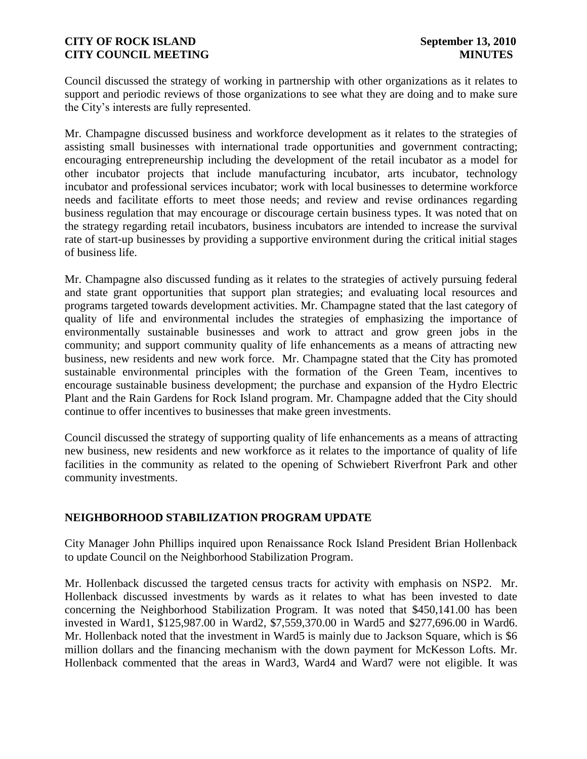Council discussed the strategy of working in partnership with other organizations as it relates to support and periodic reviews of those organizations to see what they are doing and to make sure the City's interests are fully represented.

Mr. Champagne discussed business and workforce development as it relates to the strategies of assisting small businesses with international trade opportunities and government contracting; encouraging entrepreneurship including the development of the retail incubator as a model for other incubator projects that include manufacturing incubator, arts incubator, technology incubator and professional services incubator; work with local businesses to determine workforce needs and facilitate efforts to meet those needs; and review and revise ordinances regarding business regulation that may encourage or discourage certain business types. It was noted that on the strategy regarding retail incubators, business incubators are intended to increase the survival rate of start-up businesses by providing a supportive environment during the critical initial stages of business life.

Mr. Champagne also discussed funding as it relates to the strategies of actively pursuing federal and state grant opportunities that support plan strategies; and evaluating local resources and programs targeted towards development activities. Mr. Champagne stated that the last category of quality of life and environmental includes the strategies of emphasizing the importance of environmentally sustainable businesses and work to attract and grow green jobs in the community; and support community quality of life enhancements as a means of attracting new business, new residents and new work force. Mr. Champagne stated that the City has promoted sustainable environmental principles with the formation of the Green Team, incentives to encourage sustainable business development; the purchase and expansion of the Hydro Electric Plant and the Rain Gardens for Rock Island program. Mr. Champagne added that the City should continue to offer incentives to businesses that make green investments.

Council discussed the strategy of supporting quality of life enhancements as a means of attracting new business, new residents and new workforce as it relates to the importance of quality of life facilities in the community as related to the opening of Schwiebert Riverfront Park and other community investments.

# **NEIGHBORHOOD STABILIZATION PROGRAM UPDATE**

City Manager John Phillips inquired upon Renaissance Rock Island President Brian Hollenback to update Council on the Neighborhood Stabilization Program.

Mr. Hollenback discussed the targeted census tracts for activity with emphasis on NSP2. Mr. Hollenback discussed investments by wards as it relates to what has been invested to date concerning the Neighborhood Stabilization Program. It was noted that \$450,141.00 has been invested in Ward1, \$125,987.00 in Ward2, \$7,559,370.00 in Ward5 and \$277,696.00 in Ward6. Mr. Hollenback noted that the investment in Ward5 is mainly due to Jackson Square, which is \$6 million dollars and the financing mechanism with the down payment for McKesson Lofts. Mr. Hollenback commented that the areas in Ward3, Ward4 and Ward7 were not eligible. It was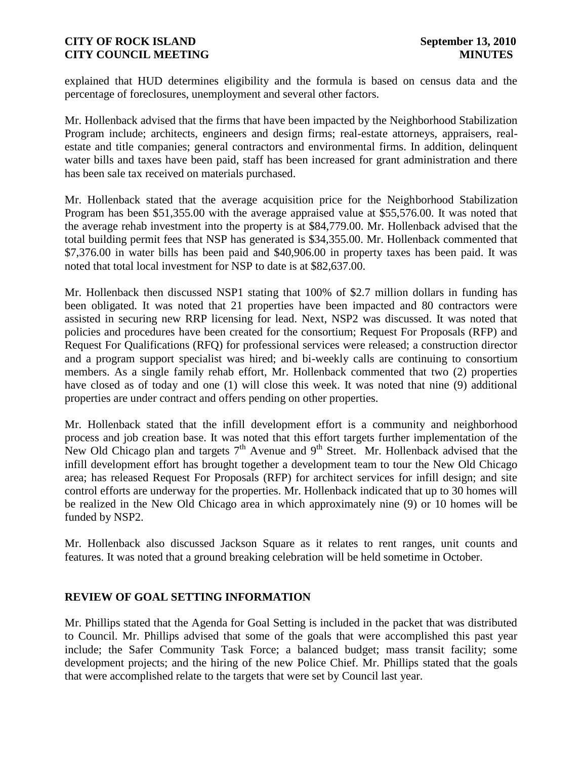explained that HUD determines eligibility and the formula is based on census data and the percentage of foreclosures, unemployment and several other factors.

Mr. Hollenback advised that the firms that have been impacted by the Neighborhood Stabilization Program include; architects, engineers and design firms; real-estate attorneys, appraisers, realestate and title companies; general contractors and environmental firms. In addition, delinquent water bills and taxes have been paid, staff has been increased for grant administration and there has been sale tax received on materials purchased.

Mr. Hollenback stated that the average acquisition price for the Neighborhood Stabilization Program has been \$51,355.00 with the average appraised value at \$55,576.00. It was noted that the average rehab investment into the property is at \$84,779.00. Mr. Hollenback advised that the total building permit fees that NSP has generated is \$34,355.00. Mr. Hollenback commented that \$7,376.00 in water bills has been paid and \$40,906.00 in property taxes has been paid. It was noted that total local investment for NSP to date is at \$82,637.00.

Mr. Hollenback then discussed NSP1 stating that 100% of \$2.7 million dollars in funding has been obligated. It was noted that 21 properties have been impacted and 80 contractors were assisted in securing new RRP licensing for lead. Next, NSP2 was discussed. It was noted that policies and procedures have been created for the consortium; Request For Proposals (RFP) and Request For Qualifications (RFQ) for professional services were released; a construction director and a program support specialist was hired; and bi-weekly calls are continuing to consortium members. As a single family rehab effort, Mr. Hollenback commented that two (2) properties have closed as of today and one (1) will close this week. It was noted that nine (9) additional properties are under contract and offers pending on other properties.

Mr. Hollenback stated that the infill development effort is a community and neighborhood process and job creation base. It was noted that this effort targets further implementation of the New Old Chicago plan and targets  $7<sup>th</sup>$  Avenue and  $9<sup>th</sup>$  Street. Mr. Hollenback advised that the infill development effort has brought together a development team to tour the New Old Chicago area; has released Request For Proposals (RFP) for architect services for infill design; and site control efforts are underway for the properties. Mr. Hollenback indicated that up to 30 homes will be realized in the New Old Chicago area in which approximately nine (9) or 10 homes will be funded by NSP2.

Mr. Hollenback also discussed Jackson Square as it relates to rent ranges, unit counts and features. It was noted that a ground breaking celebration will be held sometime in October.

## **REVIEW OF GOAL SETTING INFORMATION**

Mr. Phillips stated that the Agenda for Goal Setting is included in the packet that was distributed to Council. Mr. Phillips advised that some of the goals that were accomplished this past year include; the Safer Community Task Force; a balanced budget; mass transit facility; some development projects; and the hiring of the new Police Chief. Mr. Phillips stated that the goals that were accomplished relate to the targets that were set by Council last year.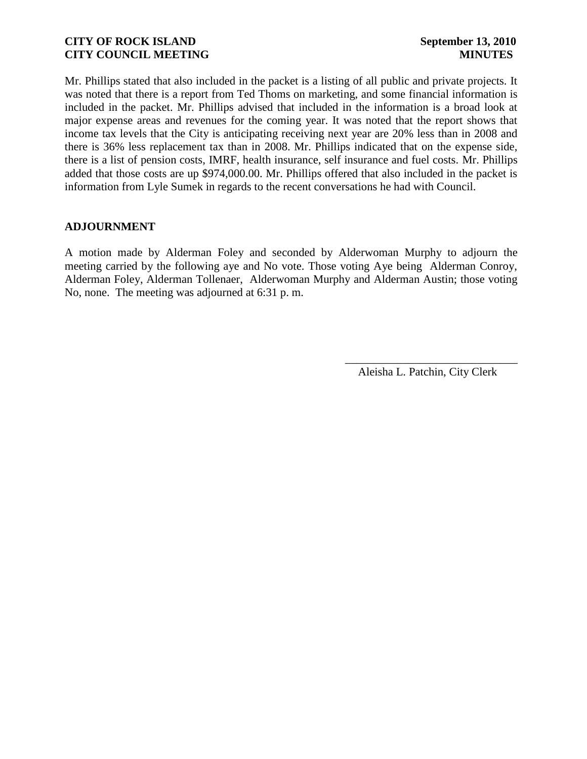Mr. Phillips stated that also included in the packet is a listing of all public and private projects. It was noted that there is a report from Ted Thoms on marketing, and some financial information is included in the packet. Mr. Phillips advised that included in the information is a broad look at major expense areas and revenues for the coming year. It was noted that the report shows that income tax levels that the City is anticipating receiving next year are 20% less than in 2008 and there is 36% less replacement tax than in 2008. Mr. Phillips indicated that on the expense side, there is a list of pension costs, IMRF, health insurance, self insurance and fuel costs. Mr. Phillips added that those costs are up \$974,000.00. Mr. Phillips offered that also included in the packet is information from Lyle Sumek in regards to the recent conversations he had with Council.

## **ADJOURNMENT**

A motion made by Alderman Foley and seconded by Alderwoman Murphy to adjourn the meeting carried by the following aye and No vote. Those voting Aye being Alderman Conroy, Alderman Foley, Alderman Tollenaer, Alderwoman Murphy and Alderman Austin; those voting No, none. The meeting was adjourned at 6:31 p. m.

> \_\_\_\_\_\_\_\_\_\_\_\_\_\_\_\_\_\_\_\_\_\_\_\_\_\_\_\_\_\_ Aleisha L. Patchin, City Clerk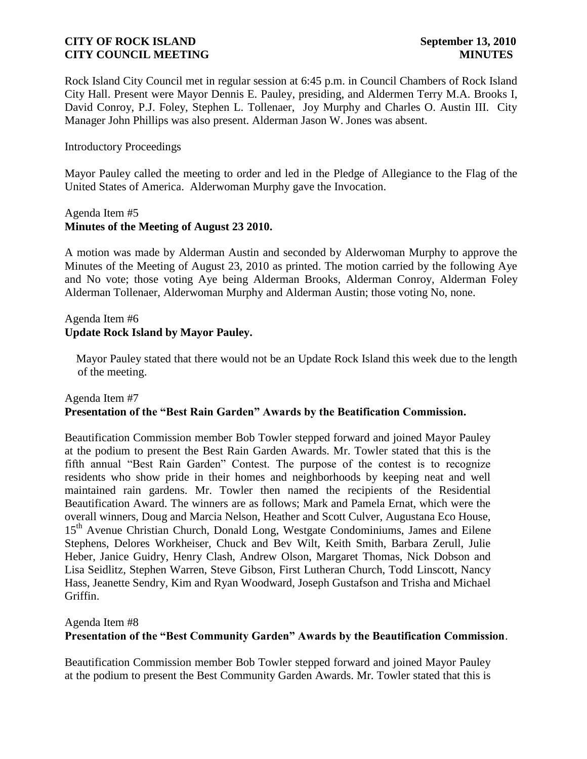Rock Island City Council met in regular session at 6:45 p.m. in Council Chambers of Rock Island City Hall. Present were Mayor Dennis E. Pauley, presiding, and Aldermen Terry M.A. Brooks I, David Conroy, P.J. Foley, Stephen L. Tollenaer, Joy Murphy and Charles O. Austin III. City Manager John Phillips was also present. Alderman Jason W. Jones was absent.

## Introductory Proceedings

Mayor Pauley called the meeting to order and led in the Pledge of Allegiance to the Flag of the United States of America. Alderwoman Murphy gave the Invocation.

### Agenda Item #5 **Minutes of the Meeting of August 23 2010.**

A motion was made by Alderman Austin and seconded by Alderwoman Murphy to approve the Minutes of the Meeting of August 23, 2010 as printed. The motion carried by the following Aye and No vote; those voting Aye being Alderman Brooks, Alderman Conroy, Alderman Foley Alderman Tollenaer, Alderwoman Murphy and Alderman Austin; those voting No, none.

## Agenda Item #6 **Update Rock Island by Mayor Pauley.**

 Mayor Pauley stated that there would not be an Update Rock Island this week due to the length of the meeting.

## Agenda Item #7 **Presentation of the "Best Rain Garden" Awards by the Beatification Commission.**

Beautification Commission member Bob Towler stepped forward and joined Mayor Pauley at the podium to present the Best Rain Garden Awards. Mr. Towler stated that this is the fifth annual "Best Rain Garden" Contest. The purpose of the contest is to recognize residents who show pride in their homes and neighborhoods by keeping neat and well maintained rain gardens. Mr. Towler then named the recipients of the Residential Beautification Award. The winners are as follows; Mark and Pamela Ernat, which were the overall winners, Doug and Marcia Nelson, Heather and Scott Culver, Augustana Eco House, 15<sup>th</sup> Avenue Christian Church, Donald Long, Westgate Condominiums, James and Eilene Stephens, Delores Workheiser, Chuck and Bev Wilt, Keith Smith, Barbara Zerull, Julie Heber, Janice Guidry, Henry Clash, Andrew Olson, Margaret Thomas, Nick Dobson and Lisa Seidlitz, Stephen Warren, Steve Gibson, First Lutheran Church, Todd Linscott, Nancy Hass, Jeanette Sendry, Kim and Ryan Woodward, Joseph Gustafson and Trisha and Michael Griffin.

Agenda Item #8

## **Presentation of the "Best Community Garden" Awards by the Beautification Commission**.

Beautification Commission member Bob Towler stepped forward and joined Mayor Pauley at the podium to present the Best Community Garden Awards. Mr. Towler stated that this is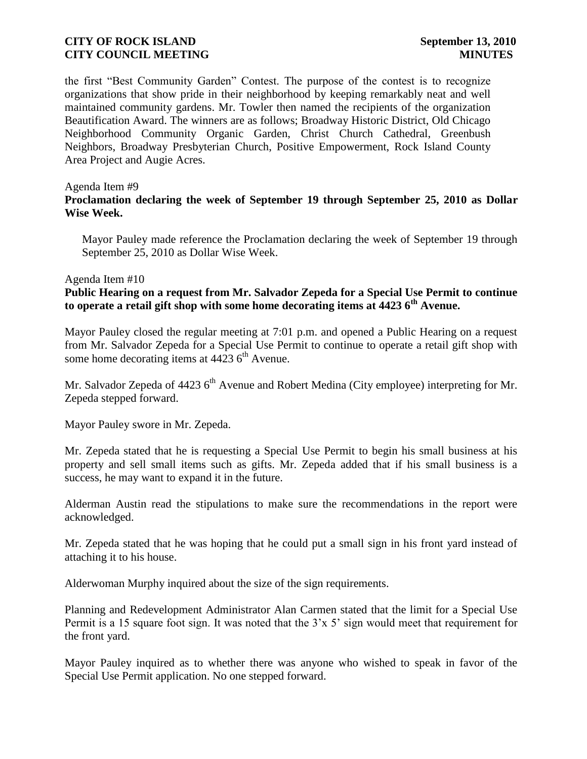the first "Best Community Garden" Contest. The purpose of the contest is to recognize organizations that show pride in their neighborhood by keeping remarkably neat and well maintained community gardens. Mr. Towler then named the recipients of the organization Beautification Award. The winners are as follows; Broadway Historic District, Old Chicago Neighborhood Community Organic Garden, Christ Church Cathedral, Greenbush Neighbors, Broadway Presbyterian Church, Positive Empowerment, Rock Island County Area Project and Augie Acres.

## Agenda Item #9

# **Proclamation declaring the week of September 19 through September 25, 2010 as Dollar Wise Week.**

 Mayor Pauley made reference the Proclamation declaring the week of September 19 through September 25, 2010 as Dollar Wise Week.

## Agenda Item #10

# **Public Hearing on a request from Mr. Salvador Zepeda for a Special Use Permit to continue to operate a retail gift shop with some home decorating items at 4423 6th Avenue.**

Mayor Pauley closed the regular meeting at 7:01 p.m. and opened a Public Hearing on a request from Mr. Salvador Zepeda for a Special Use Permit to continue to operate a retail gift shop with some home decorating items at  $4423$  6<sup>th</sup> Avenue.

Mr. Salvador Zepeda of 4423  $6<sup>th</sup>$  Avenue and Robert Medina (City employee) interpreting for Mr. Zepeda stepped forward.

Mayor Pauley swore in Mr. Zepeda.

Mr. Zepeda stated that he is requesting a Special Use Permit to begin his small business at his property and sell small items such as gifts. Mr. Zepeda added that if his small business is a success, he may want to expand it in the future.

Alderman Austin read the stipulations to make sure the recommendations in the report were acknowledged.

Mr. Zepeda stated that he was hoping that he could put a small sign in his front yard instead of attaching it to his house.

Alderwoman Murphy inquired about the size of the sign requirements.

Planning and Redevelopment Administrator Alan Carmen stated that the limit for a Special Use Permit is a 15 square foot sign. It was noted that the 3'x 5' sign would meet that requirement for the front yard.

Mayor Pauley inquired as to whether there was anyone who wished to speak in favor of the Special Use Permit application. No one stepped forward.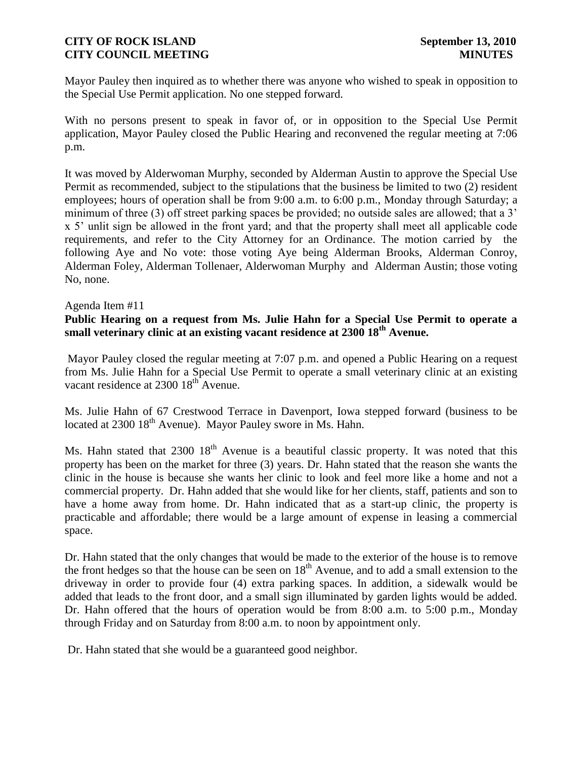Mayor Pauley then inquired as to whether there was anyone who wished to speak in opposition to the Special Use Permit application. No one stepped forward.

With no persons present to speak in favor of, or in opposition to the Special Use Permit application, Mayor Pauley closed the Public Hearing and reconvened the regular meeting at 7:06 p.m.

It was moved by Alderwoman Murphy, seconded by Alderman Austin to approve the Special Use Permit as recommended, subject to the stipulations that the business be limited to two (2) resident employees; hours of operation shall be from 9:00 a.m. to 6:00 p.m., Monday through Saturday; a minimum of three (3) off street parking spaces be provided; no outside sales are allowed; that a 3' x 5' unlit sign be allowed in the front yard; and that the property shall meet all applicable code requirements, and refer to the City Attorney for an Ordinance. The motion carried by the following Aye and No vote: those voting Aye being Alderman Brooks, Alderman Conroy, Alderman Foley, Alderman Tollenaer, Alderwoman Murphy and Alderman Austin; those voting No, none.

## Agenda Item #11

# **Public Hearing on a request from Ms. Julie Hahn for a Special Use Permit to operate a small veterinary clinic at an existing vacant residence at 2300 18th Avenue.**

Mayor Pauley closed the regular meeting at 7:07 p.m. and opened a Public Hearing on a request from Ms. Julie Hahn for a Special Use Permit to operate a small veterinary clinic at an existing vacant residence at 2300 18<sup>th</sup> Avenue.

Ms. Julie Hahn of 67 Crestwood Terrace in Davenport, Iowa stepped forward (business to be located at  $2300\ 18<sup>th</sup>$  Avenue). Mayor Pauley swore in Ms. Hahn.

Ms. Hahn stated that  $2300 \, 18^{th}$  Avenue is a beautiful classic property. It was noted that this property has been on the market for three (3) years. Dr. Hahn stated that the reason she wants the clinic in the house is because she wants her clinic to look and feel more like a home and not a commercial property. Dr. Hahn added that she would like for her clients, staff, patients and son to have a home away from home. Dr. Hahn indicated that as a start-up clinic, the property is practicable and affordable; there would be a large amount of expense in leasing a commercial space.

Dr. Hahn stated that the only changes that would be made to the exterior of the house is to remove the front hedges so that the house can be seen on  $18<sup>th</sup>$  Avenue, and to add a small extension to the driveway in order to provide four (4) extra parking spaces. In addition, a sidewalk would be added that leads to the front door, and a small sign illuminated by garden lights would be added. Dr. Hahn offered that the hours of operation would be from 8:00 a.m. to 5:00 p.m., Monday through Friday and on Saturday from 8:00 a.m. to noon by appointment only.

Dr. Hahn stated that she would be a guaranteed good neighbor.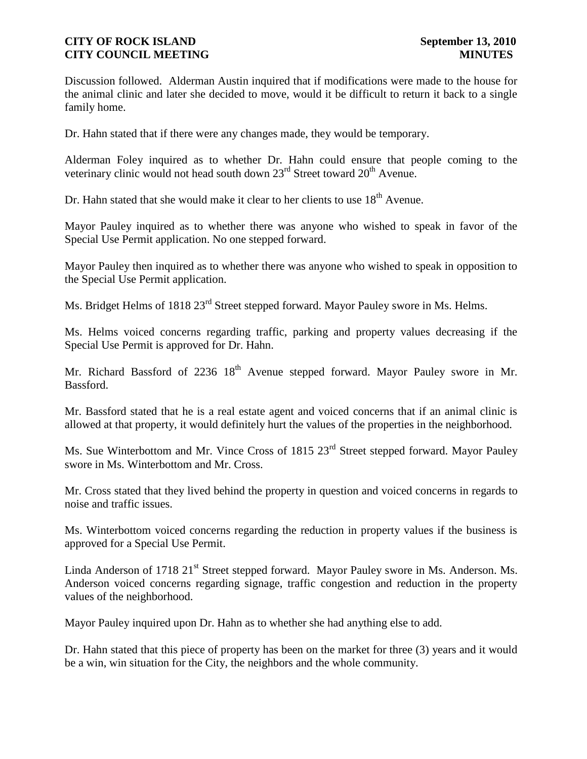Discussion followed. Alderman Austin inquired that if modifications were made to the house for the animal clinic and later she decided to move, would it be difficult to return it back to a single family home.

Dr. Hahn stated that if there were any changes made, they would be temporary.

Alderman Foley inquired as to whether Dr. Hahn could ensure that people coming to the veterinary clinic would not head south down  $23<sup>rd</sup>$  Street toward  $20<sup>th</sup>$  Avenue.

Dr. Hahn stated that she would make it clear to her clients to use  $18<sup>th</sup>$  Avenue.

Mayor Pauley inquired as to whether there was anyone who wished to speak in favor of the Special Use Permit application. No one stepped forward.

Mayor Pauley then inquired as to whether there was anyone who wished to speak in opposition to the Special Use Permit application.

Ms. Bridget Helms of 1818 23<sup>rd</sup> Street stepped forward. Mayor Pauley swore in Ms. Helms.

Ms. Helms voiced concerns regarding traffic, parking and property values decreasing if the Special Use Permit is approved for Dr. Hahn.

Mr. Richard Bassford of 2236  $18<sup>th</sup>$  Avenue stepped forward. Mayor Pauley swore in Mr. Bassford.

Mr. Bassford stated that he is a real estate agent and voiced concerns that if an animal clinic is allowed at that property, it would definitely hurt the values of the properties in the neighborhood.

Ms. Sue Winterbottom and Mr. Vince Cross of 1815 23<sup>rd</sup> Street stepped forward. Mayor Pauley swore in Ms. Winterbottom and Mr. Cross.

Mr. Cross stated that they lived behind the property in question and voiced concerns in regards to noise and traffic issues.

Ms. Winterbottom voiced concerns regarding the reduction in property values if the business is approved for a Special Use Permit.

Linda Anderson of 1718 21<sup>st</sup> Street stepped forward. Mayor Pauley swore in Ms. Anderson. Ms. Anderson voiced concerns regarding signage, traffic congestion and reduction in the property values of the neighborhood.

Mayor Pauley inquired upon Dr. Hahn as to whether she had anything else to add.

Dr. Hahn stated that this piece of property has been on the market for three (3) years and it would be a win, win situation for the City, the neighbors and the whole community.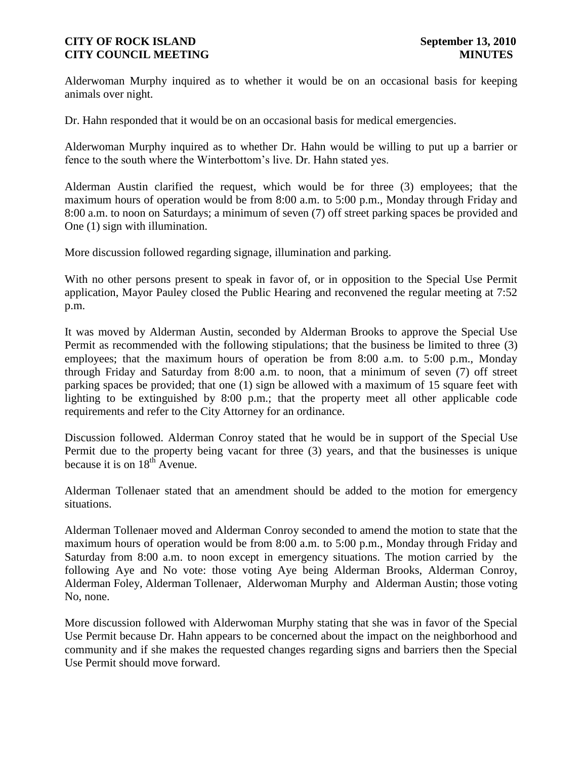Alderwoman Murphy inquired as to whether it would be on an occasional basis for keeping animals over night.

Dr. Hahn responded that it would be on an occasional basis for medical emergencies.

Alderwoman Murphy inquired as to whether Dr. Hahn would be willing to put up a barrier or fence to the south where the Winterbottom's live. Dr. Hahn stated yes.

Alderman Austin clarified the request, which would be for three (3) employees; that the maximum hours of operation would be from 8:00 a.m. to 5:00 p.m., Monday through Friday and 8:00 a.m. to noon on Saturdays; a minimum of seven (7) off street parking spaces be provided and One (1) sign with illumination.

More discussion followed regarding signage, illumination and parking.

With no other persons present to speak in favor of, or in opposition to the Special Use Permit application, Mayor Pauley closed the Public Hearing and reconvened the regular meeting at 7:52 p.m.

It was moved by Alderman Austin, seconded by Alderman Brooks to approve the Special Use Permit as recommended with the following stipulations; that the business be limited to three (3) employees; that the maximum hours of operation be from 8:00 a.m. to 5:00 p.m., Monday through Friday and Saturday from 8:00 a.m. to noon, that a minimum of seven (7) off street parking spaces be provided; that one (1) sign be allowed with a maximum of 15 square feet with lighting to be extinguished by 8:00 p.m.; that the property meet all other applicable code requirements and refer to the City Attorney for an ordinance.

Discussion followed. Alderman Conroy stated that he would be in support of the Special Use Permit due to the property being vacant for three (3) years, and that the businesses is unique because it is on  $18^{th}$  Avenue.

Alderman Tollenaer stated that an amendment should be added to the motion for emergency situations.

Alderman Tollenaer moved and Alderman Conroy seconded to amend the motion to state that the maximum hours of operation would be from 8:00 a.m. to 5:00 p.m., Monday through Friday and Saturday from 8:00 a.m. to noon except in emergency situations. The motion carried by the following Aye and No vote: those voting Aye being Alderman Brooks, Alderman Conroy, Alderman Foley, Alderman Tollenaer, Alderwoman Murphy and Alderman Austin; those voting No, none.

More discussion followed with Alderwoman Murphy stating that she was in favor of the Special Use Permit because Dr. Hahn appears to be concerned about the impact on the neighborhood and community and if she makes the requested changes regarding signs and barriers then the Special Use Permit should move forward.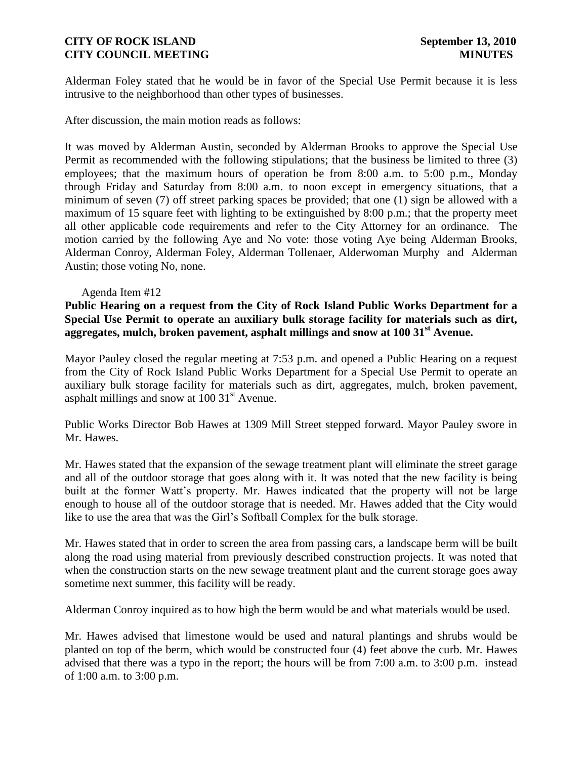Alderman Foley stated that he would be in favor of the Special Use Permit because it is less intrusive to the neighborhood than other types of businesses.

After discussion, the main motion reads as follows:

It was moved by Alderman Austin, seconded by Alderman Brooks to approve the Special Use Permit as recommended with the following stipulations; that the business be limited to three (3) employees; that the maximum hours of operation be from 8:00 a.m. to 5:00 p.m., Monday through Friday and Saturday from 8:00 a.m. to noon except in emergency situations, that a minimum of seven (7) off street parking spaces be provided; that one (1) sign be allowed with a maximum of 15 square feet with lighting to be extinguished by 8:00 p.m.; that the property meet all other applicable code requirements and refer to the City Attorney for an ordinance. The motion carried by the following Aye and No vote: those voting Aye being Alderman Brooks, Alderman Conroy, Alderman Foley, Alderman Tollenaer, Alderwoman Murphy and Alderman Austin; those voting No, none.

## Agenda Item #12

**Public Hearing on a request from the City of Rock Island Public Works Department for a Special Use Permit to operate an auxiliary bulk storage facility for materials such as dirt, aggregates, mulch, broken pavement, asphalt millings and snow at 100 31st Avenue.**

Mayor Pauley closed the regular meeting at 7:53 p.m. and opened a Public Hearing on a request from the City of Rock Island Public Works Department for a Special Use Permit to operate an auxiliary bulk storage facility for materials such as dirt, aggregates, mulch, broken pavement, asphalt millings and snow at  $100 \, 31<sup>st</sup>$  Avenue.

Public Works Director Bob Hawes at 1309 Mill Street stepped forward. Mayor Pauley swore in Mr. Hawes.

Mr. Hawes stated that the expansion of the sewage treatment plant will eliminate the street garage and all of the outdoor storage that goes along with it. It was noted that the new facility is being built at the former Watt's property. Mr. Hawes indicated that the property will not be large enough to house all of the outdoor storage that is needed. Mr. Hawes added that the City would like to use the area that was the Girl's Softball Complex for the bulk storage.

Mr. Hawes stated that in order to screen the area from passing cars, a landscape berm will be built along the road using material from previously described construction projects. It was noted that when the construction starts on the new sewage treatment plant and the current storage goes away sometime next summer, this facility will be ready.

Alderman Conroy inquired as to how high the berm would be and what materials would be used.

Mr. Hawes advised that limestone would be used and natural plantings and shrubs would be planted on top of the berm, which would be constructed four (4) feet above the curb. Mr. Hawes advised that there was a typo in the report; the hours will be from 7:00 a.m. to 3:00 p.m. instead of 1:00 a.m. to 3:00 p.m.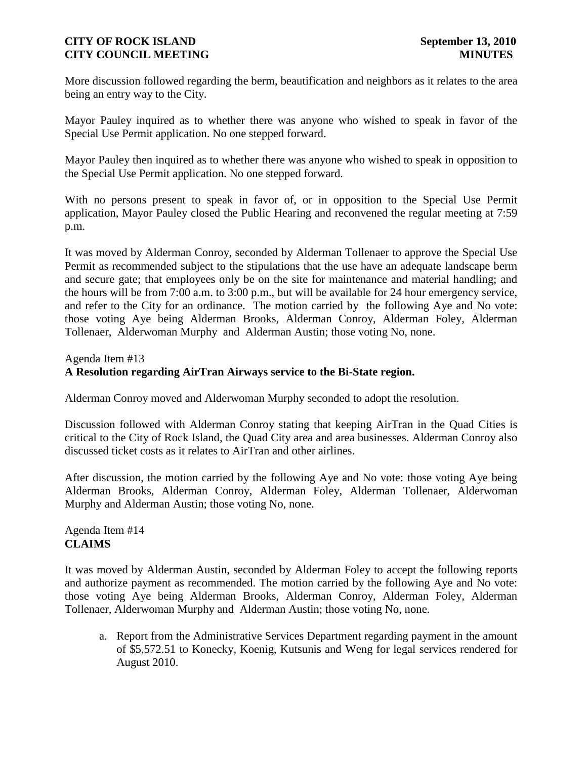More discussion followed regarding the berm, beautification and neighbors as it relates to the area being an entry way to the City.

Mayor Pauley inquired as to whether there was anyone who wished to speak in favor of the Special Use Permit application. No one stepped forward.

Mayor Pauley then inquired as to whether there was anyone who wished to speak in opposition to the Special Use Permit application. No one stepped forward.

With no persons present to speak in favor of, or in opposition to the Special Use Permit application, Mayor Pauley closed the Public Hearing and reconvened the regular meeting at 7:59 p.m.

It was moved by Alderman Conroy, seconded by Alderman Tollenaer to approve the Special Use Permit as recommended subject to the stipulations that the use have an adequate landscape berm and secure gate; that employees only be on the site for maintenance and material handling; and the hours will be from 7:00 a.m. to 3:00 p.m., but will be available for 24 hour emergency service, and refer to the City for an ordinance. The motion carried by the following Aye and No vote: those voting Aye being Alderman Brooks, Alderman Conroy, Alderman Foley, Alderman Tollenaer, Alderwoman Murphy and Alderman Austin; those voting No, none.

## Agenda Item #13

## **A Resolution regarding AirTran Airways service to the Bi-State region.**

Alderman Conroy moved and Alderwoman Murphy seconded to adopt the resolution.

Discussion followed with Alderman Conroy stating that keeping AirTran in the Quad Cities is critical to the City of Rock Island, the Quad City area and area businesses. Alderman Conroy also discussed ticket costs as it relates to AirTran and other airlines.

After discussion, the motion carried by the following Aye and No vote: those voting Aye being Alderman Brooks, Alderman Conroy, Alderman Foley, Alderman Tollenaer, Alderwoman Murphy and Alderman Austin; those voting No, none.

Agenda Item #14 **CLAIMS**

It was moved by Alderman Austin, seconded by Alderman Foley to accept the following reports and authorize payment as recommended. The motion carried by the following Aye and No vote: those voting Aye being Alderman Brooks, Alderman Conroy, Alderman Foley, Alderman Tollenaer, Alderwoman Murphy and Alderman Austin; those voting No, none.

a. Report from the Administrative Services Department regarding payment in the amount of \$5,572.51 to Konecky, Koenig, Kutsunis and Weng for legal services rendered for August 2010.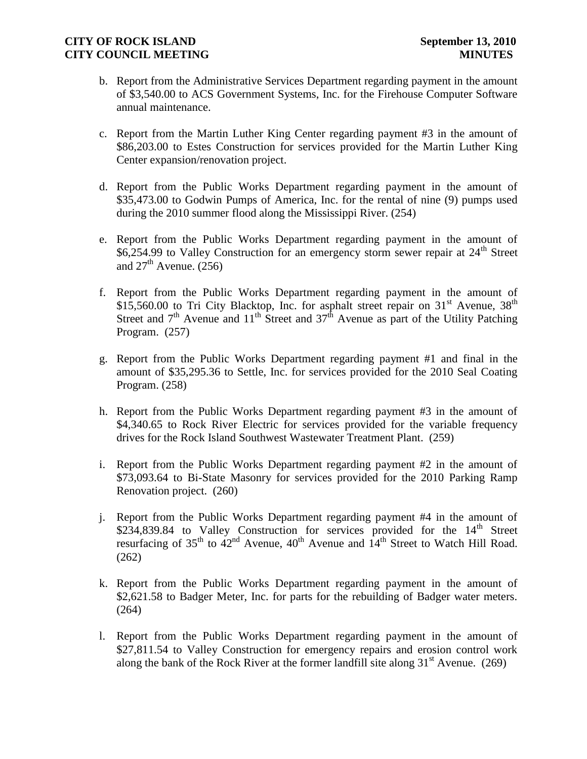- b. Report from the Administrative Services Department regarding payment in the amount of \$3,540.00 to ACS Government Systems, Inc. for the Firehouse Computer Software annual maintenance.
- c. Report from the Martin Luther King Center regarding payment #3 in the amount of \$86,203.00 to Estes Construction for services provided for the Martin Luther King Center expansion/renovation project.
- d. Report from the Public Works Department regarding payment in the amount of \$35,473.00 to Godwin Pumps of America, Inc. for the rental of nine (9) pumps used during the 2010 summer flood along the Mississippi River. (254)
- e. Report from the Public Works Department regarding payment in the amount of \$6,254.99 to Valley Construction for an emergency storm sewer repair at  $24<sup>th</sup>$  Street and  $27<sup>th</sup>$  Avenue. (256)
- f. Report from the Public Works Department regarding payment in the amount of \$15,560.00 to Tri City Blacktop, Inc. for asphalt street repair on  $31<sup>st</sup>$  Avenue,  $38<sup>th</sup>$ Street and  $7<sup>th</sup>$  Avenue and  $11<sup>th</sup>$  Street and  $37<sup>th</sup>$  Avenue as part of the Utility Patching Program. (257)
- g. Report from the Public Works Department regarding payment #1 and final in the amount of \$35,295.36 to Settle, Inc. for services provided for the 2010 Seal Coating Program. (258)
- h. Report from the Public Works Department regarding payment #3 in the amount of \$4,340.65 to Rock River Electric for services provided for the variable frequency drives for the Rock Island Southwest Wastewater Treatment Plant. (259)
- i. Report from the Public Works Department regarding payment #2 in the amount of \$73,093.64 to Bi-State Masonry for services provided for the 2010 Parking Ramp Renovation project. (260)
- j. Report from the Public Works Department regarding payment #4 in the amount of \$234,839.84 to Valley Construction for services provided for the  $14<sup>th</sup>$  Street resurfacing of  $35<sup>th</sup>$  to  $42<sup>nd</sup>$  Avenue,  $40<sup>th</sup>$  Avenue and  $14<sup>th</sup>$  Street to Watch Hill Road. (262)
- k. Report from the Public Works Department regarding payment in the amount of \$2,621.58 to Badger Meter, Inc. for parts for the rebuilding of Badger water meters. (264)
- l. Report from the Public Works Department regarding payment in the amount of \$27,811.54 to Valley Construction for emergency repairs and erosion control work along the bank of the Rock River at the former landfill site along  $31<sup>st</sup>$  Avenue. (269)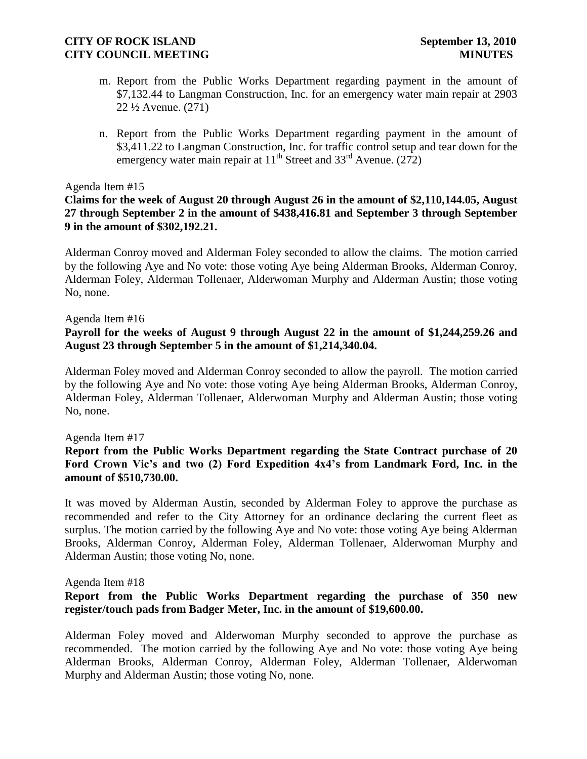- m. Report from the Public Works Department regarding payment in the amount of \$7,132.44 to Langman Construction, Inc. for an emergency water main repair at 2903 22 ½ Avenue. (271)
- n. Report from the Public Works Department regarding payment in the amount of \$3,411.22 to Langman Construction, Inc. for traffic control setup and tear down for the emergency water main repair at  $11^{th}$  Street and  $33^{rd}$  Avenue. (272)

### Agenda Item #15

## **Claims for the week of August 20 through August 26 in the amount of \$2,110,144.05, August 27 through September 2 in the amount of \$438,416.81 and September 3 through September 9 in the amount of \$302,192.21.**

Alderman Conroy moved and Alderman Foley seconded to allow the claims. The motion carried by the following Aye and No vote: those voting Aye being Alderman Brooks, Alderman Conroy, Alderman Foley, Alderman Tollenaer, Alderwoman Murphy and Alderman Austin; those voting No, none.

Agenda Item #16

## **Payroll for the weeks of August 9 through August 22 in the amount of \$1,244,259.26 and August 23 through September 5 in the amount of \$1,214,340.04.**

Alderman Foley moved and Alderman Conroy seconded to allow the payroll. The motion carried by the following Aye and No vote: those voting Aye being Alderman Brooks, Alderman Conroy, Alderman Foley, Alderman Tollenaer, Alderwoman Murphy and Alderman Austin; those voting No, none.

## Agenda Item #17

## **Report from the Public Works Department regarding the State Contract purchase of 20 Ford Crown Vic's and two (2) Ford Expedition 4x4's from Landmark Ford, Inc. in the amount of \$510,730.00.**

It was moved by Alderman Austin, seconded by Alderman Foley to approve the purchase as recommended and refer to the City Attorney for an ordinance declaring the current fleet as surplus. The motion carried by the following Aye and No vote: those voting Aye being Alderman Brooks, Alderman Conroy, Alderman Foley, Alderman Tollenaer, Alderwoman Murphy and Alderman Austin; those voting No, none.

### Agenda Item #18

## **Report from the Public Works Department regarding the purchase of 350 new register/touch pads from Badger Meter, Inc. in the amount of \$19,600.00.**

Alderman Foley moved and Alderwoman Murphy seconded to approve the purchase as recommended. The motion carried by the following Aye and No vote: those voting Aye being Alderman Brooks, Alderman Conroy, Alderman Foley, Alderman Tollenaer, Alderwoman Murphy and Alderman Austin; those voting No, none.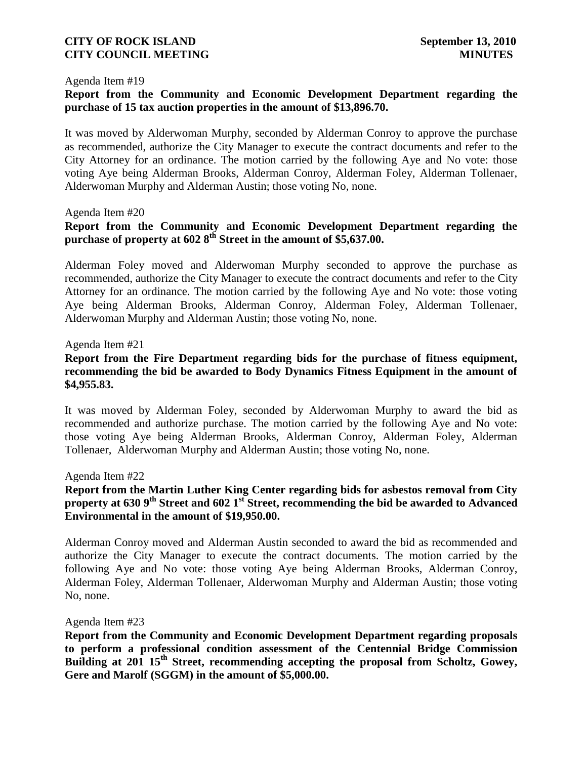#### Agenda Item #19

# **Report from the Community and Economic Development Department regarding the purchase of 15 tax auction properties in the amount of \$13,896.70.**

It was moved by Alderwoman Murphy, seconded by Alderman Conroy to approve the purchase as recommended, authorize the City Manager to execute the contract documents and refer to the City Attorney for an ordinance. The motion carried by the following Aye and No vote: those voting Aye being Alderman Brooks, Alderman Conroy, Alderman Foley, Alderman Tollenaer, Alderwoman Murphy and Alderman Austin; those voting No, none.

### Agenda Item #20

# **Report from the Community and Economic Development Department regarding the purchase of property at 602 8th Street in the amount of \$5,637.00.**

Alderman Foley moved and Alderwoman Murphy seconded to approve the purchase as recommended, authorize the City Manager to execute the contract documents and refer to the City Attorney for an ordinance. The motion carried by the following Aye and No vote: those voting Aye being Alderman Brooks, Alderman Conroy, Alderman Foley, Alderman Tollenaer, Alderwoman Murphy and Alderman Austin; those voting No, none.

### Agenda Item #21

## **Report from the Fire Department regarding bids for the purchase of fitness equipment, recommending the bid be awarded to Body Dynamics Fitness Equipment in the amount of \$4,955.83.**

It was moved by Alderman Foley, seconded by Alderwoman Murphy to award the bid as recommended and authorize purchase. The motion carried by the following Aye and No vote: those voting Aye being Alderman Brooks, Alderman Conroy, Alderman Foley, Alderman Tollenaer, Alderwoman Murphy and Alderman Austin; those voting No, none.

### Agenda Item #22

## **Report from the Martin Luther King Center regarding bids for asbestos removal from City property at 630 9th Street and 602 1st Street, recommending the bid be awarded to Advanced Environmental in the amount of \$19,950.00.**

Alderman Conroy moved and Alderman Austin seconded to award the bid as recommended and authorize the City Manager to execute the contract documents. The motion carried by the following Aye and No vote: those voting Aye being Alderman Brooks, Alderman Conroy, Alderman Foley, Alderman Tollenaer, Alderwoman Murphy and Alderman Austin; those voting No, none.

### Agenda Item #23

**Report from the Community and Economic Development Department regarding proposals to perform a professional condition assessment of the Centennial Bridge Commission Building at 201 15th Street, recommending accepting the proposal from Scholtz, Gowey, Gere and Marolf (SGGM) in the amount of \$5,000.00.**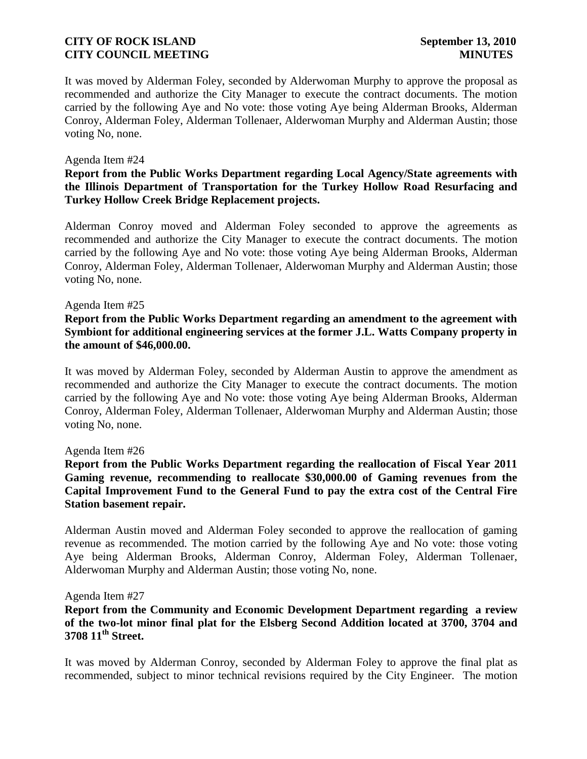It was moved by Alderman Foley, seconded by Alderwoman Murphy to approve the proposal as recommended and authorize the City Manager to execute the contract documents. The motion carried by the following Aye and No vote: those voting Aye being Alderman Brooks, Alderman Conroy, Alderman Foley, Alderman Tollenaer, Alderwoman Murphy and Alderman Austin; those voting No, none.

### Agenda Item #24

## **Report from the Public Works Department regarding Local Agency/State agreements with the Illinois Department of Transportation for the Turkey Hollow Road Resurfacing and Turkey Hollow Creek Bridge Replacement projects.**

Alderman Conroy moved and Alderman Foley seconded to approve the agreements as recommended and authorize the City Manager to execute the contract documents. The motion carried by the following Aye and No vote: those voting Aye being Alderman Brooks, Alderman Conroy, Alderman Foley, Alderman Tollenaer, Alderwoman Murphy and Alderman Austin; those voting No, none.

### Agenda Item #25

## **Report from the Public Works Department regarding an amendment to the agreement with Symbiont for additional engineering services at the former J.L. Watts Company property in the amount of \$46,000.00.**

It was moved by Alderman Foley, seconded by Alderman Austin to approve the amendment as recommended and authorize the City Manager to execute the contract documents. The motion carried by the following Aye and No vote: those voting Aye being Alderman Brooks, Alderman Conroy, Alderman Foley, Alderman Tollenaer, Alderwoman Murphy and Alderman Austin; those voting No, none.

## Agenda Item #26

## **Report from the Public Works Department regarding the reallocation of Fiscal Year 2011 Gaming revenue, recommending to reallocate \$30,000.00 of Gaming revenues from the Capital Improvement Fund to the General Fund to pay the extra cost of the Central Fire Station basement repair.**

Alderman Austin moved and Alderman Foley seconded to approve the reallocation of gaming revenue as recommended. The motion carried by the following Aye and No vote: those voting Aye being Alderman Brooks, Alderman Conroy, Alderman Foley, Alderman Tollenaer, Alderwoman Murphy and Alderman Austin; those voting No, none.

### Agenda Item #27

# **Report from the Community and Economic Development Department regarding a review of the two-lot minor final plat for the Elsberg Second Addition located at 3700, 3704 and 3708 11th Street.**

It was moved by Alderman Conroy, seconded by Alderman Foley to approve the final plat as recommended, subject to minor technical revisions required by the City Engineer. The motion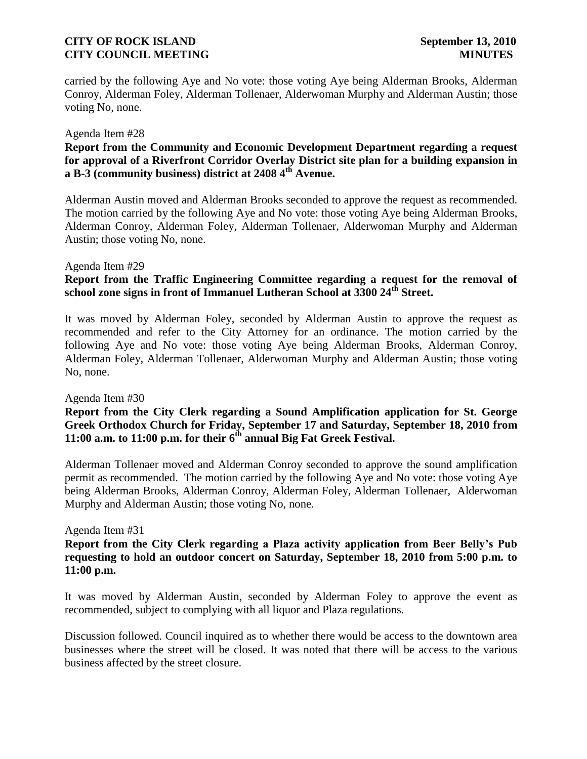carried by the following Aye and No vote: those voting Aye being Alderman Brooks, Alderman Conroy, Alderman Foley, Alderman Tollenaer, Alderwoman Murphy and Alderman Austin; those voting No, none.

### Agenda Item #28

# **Report from the Community and Economic Development Department regarding a request for approval of a Riverfront Corridor Overlay District site plan for a building expansion in a B-3 (community business) district at 2408 4th Avenue.**

Alderman Austin moved and Alderman Brooks seconded to approve the request as recommended. The motion carried by the following Aye and No vote: those voting Aye being Alderman Brooks, Alderman Conroy, Alderman Foley, Alderman Tollenaer, Alderwoman Murphy and Alderman Austin; those voting No, none.

### Agenda Item #29

# **Report from the Traffic Engineering Committee regarding a request for the removal of school zone signs in front of Immanuel Lutheran School at 3300 24th Street.**

It was moved by Alderman Foley, seconded by Alderman Austin to approve the request as recommended and refer to the City Attorney for an ordinance. The motion carried by the following Aye and No vote: those voting Aye being Alderman Brooks, Alderman Conroy, Alderman Foley, Alderman Tollenaer, Alderwoman Murphy and Alderman Austin; those voting No, none.

### Agenda Item #30

## **Report from the City Clerk regarding a Sound Amplification application for St. George Greek Orthodox Church for Friday, September 17 and Saturday, September 18, 2010 from 11:00 a.m. to 11:00 p.m. for their 6th annual Big Fat Greek Festival.**

Alderman Tollenaer moved and Alderman Conroy seconded to approve the sound amplification permit as recommended. The motion carried by the following Aye and No vote: those voting Aye being Alderman Brooks, Alderman Conroy, Alderman Foley, Alderman Tollenaer, Alderwoman Murphy and Alderman Austin; those voting No, none.

## Agenda Item #31

## **Report from the City Clerk regarding a Plaza activity application from Beer Belly's Pub requesting to hold an outdoor concert on Saturday, September 18, 2010 from 5:00 p.m. to 11:00 p.m.**

It was moved by Alderman Austin, seconded by Alderman Foley to approve the event as recommended, subject to complying with all liquor and Plaza regulations.

Discussion followed. Council inquired as to whether there would be access to the downtown area businesses where the street will be closed. It was noted that there will be access to the various business affected by the street closure.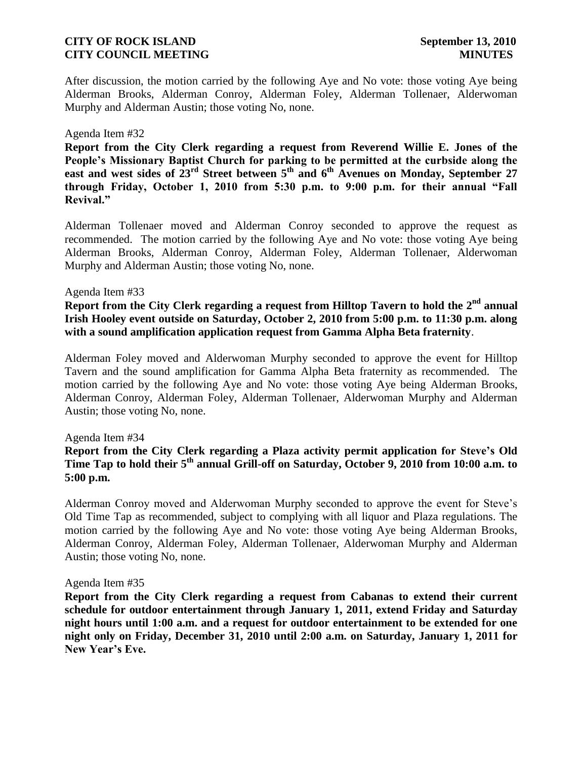After discussion, the motion carried by the following Aye and No vote: those voting Aye being Alderman Brooks, Alderman Conroy, Alderman Foley, Alderman Tollenaer, Alderwoman Murphy and Alderman Austin; those voting No, none.

### Agenda Item #32

**Report from the City Clerk regarding a request from Reverend Willie E. Jones of the People's Missionary Baptist Church for parking to be permitted at the curbside along the east and west sides of 23rd Street between 5th and 6th Avenues on Monday, September 27 through Friday, October 1, 2010 from 5:30 p.m. to 9:00 p.m. for their annual "Fall Revival."**

Alderman Tollenaer moved and Alderman Conroy seconded to approve the request as recommended. The motion carried by the following Aye and No vote: those voting Aye being Alderman Brooks, Alderman Conroy, Alderman Foley, Alderman Tollenaer, Alderwoman Murphy and Alderman Austin; those voting No, none.

### Agenda Item #33

**Report from the City Clerk regarding a request from Hilltop Tavern to hold the 2nd annual Irish Hooley event outside on Saturday, October 2, 2010 from 5:00 p.m. to 11:30 p.m. along with a sound amplification application request from Gamma Alpha Beta fraternity**.

Alderman Foley moved and Alderwoman Murphy seconded to approve the event for Hilltop Tavern and the sound amplification for Gamma Alpha Beta fraternity as recommended. The motion carried by the following Aye and No vote: those voting Aye being Alderman Brooks, Alderman Conroy, Alderman Foley, Alderman Tollenaer, Alderwoman Murphy and Alderman Austin; those voting No, none.

### Agenda Item #34

**Report from the City Clerk regarding a Plaza activity permit application for Steve's Old Time Tap to hold their 5th annual Grill-off on Saturday, October 9, 2010 from 10:00 a.m. to 5:00 p.m.**

Alderman Conroy moved and Alderwoman Murphy seconded to approve the event for Steve's Old Time Tap as recommended, subject to complying with all liquor and Plaza regulations. The motion carried by the following Aye and No vote: those voting Aye being Alderman Brooks, Alderman Conroy, Alderman Foley, Alderman Tollenaer, Alderwoman Murphy and Alderman Austin; those voting No, none.

### Agenda Item #35

**Report from the City Clerk regarding a request from Cabanas to extend their current schedule for outdoor entertainment through January 1, 2011, extend Friday and Saturday night hours until 1:00 a.m. and a request for outdoor entertainment to be extended for one night only on Friday, December 31, 2010 until 2:00 a.m. on Saturday, January 1, 2011 for New Year's Eve.**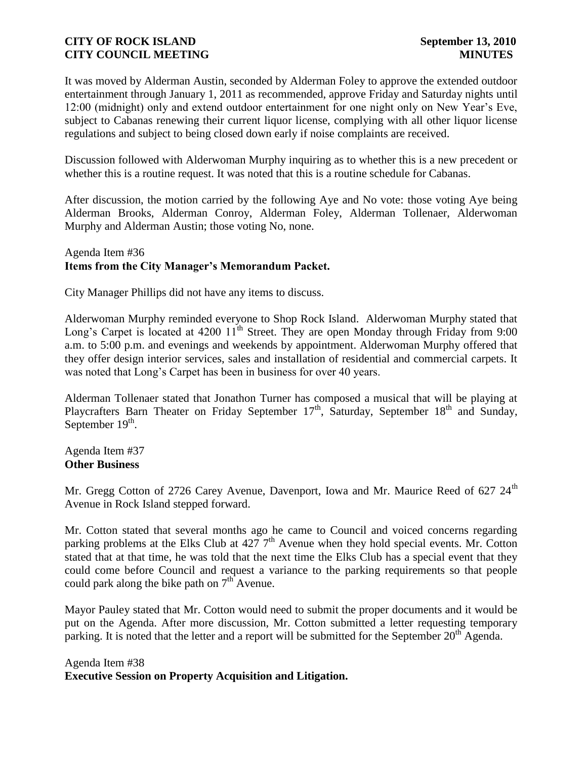It was moved by Alderman Austin, seconded by Alderman Foley to approve the extended outdoor entertainment through January 1, 2011 as recommended, approve Friday and Saturday nights until 12:00 (midnight) only and extend outdoor entertainment for one night only on New Year's Eve, subject to Cabanas renewing their current liquor license, complying with all other liquor license regulations and subject to being closed down early if noise complaints are received.

Discussion followed with Alderwoman Murphy inquiring as to whether this is a new precedent or whether this is a routine request. It was noted that this is a routine schedule for Cabanas.

After discussion, the motion carried by the following Aye and No vote: those voting Aye being Alderman Brooks, Alderman Conroy, Alderman Foley, Alderman Tollenaer, Alderwoman Murphy and Alderman Austin; those voting No, none.

## Agenda Item #36 **Items from the City Manager's Memorandum Packet.**

City Manager Phillips did not have any items to discuss.

Alderwoman Murphy reminded everyone to Shop Rock Island. Alderwoman Murphy stated that Long's Carpet is located at 4200  $11^{th}$  Street. They are open Monday through Friday from 9:00 a.m. to 5:00 p.m. and evenings and weekends by appointment. Alderwoman Murphy offered that they offer design interior services, sales and installation of residential and commercial carpets. It was noted that Long's Carpet has been in business for over 40 years.

Alderman Tollenaer stated that Jonathon Turner has composed a musical that will be playing at Playcrafters Barn Theater on Friday September  $17<sup>th</sup>$ , Saturday, September  $18<sup>th</sup>$  and Sunday, September  $19<sup>th</sup>$ .

Agenda Item #37 **Other Business**

Mr. Gregg Cotton of 2726 Carey Avenue, Davenport, Iowa and Mr. Maurice Reed of 627  $24<sup>th</sup>$ Avenue in Rock Island stepped forward.

Mr. Cotton stated that several months ago he came to Council and voiced concerns regarding parking problems at the Elks Club at  $4277<sup>th</sup>$  Avenue when they hold special events. Mr. Cotton stated that at that time, he was told that the next time the Elks Club has a special event that they could come before Council and request a variance to the parking requirements so that people could park along the bike path on  $7<sup>th</sup>$  Avenue.

Mayor Pauley stated that Mr. Cotton would need to submit the proper documents and it would be put on the Agenda. After more discussion, Mr. Cotton submitted a letter requesting temporary parking. It is noted that the letter and a report will be submitted for the September  $20<sup>th</sup>$  Agenda.

Agenda Item #38 **Executive Session on Property Acquisition and Litigation.**